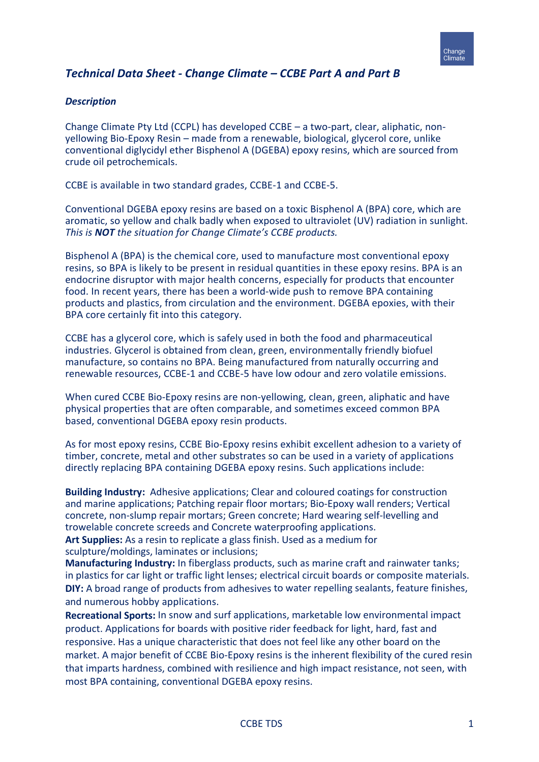

# *Technical Data Sheet - Change Climate – CCBE Part A and Part B*

#### *Description*

Change Climate Pty Ltd (CCPL) has developed CCBE – a two-part, clear, aliphatic, nonyellowing Bio-Epoxy Resin – made from a renewable, biological, glycerol core, unlike conventional diglycidyl ether Bisphenol A (DGEBA) epoxy resins, which are sourced from crude oil petrochemicals.

CCBE is available in two standard grades, CCBE-1 and CCBE-5.

Conventional DGEBA epoxy resins are based on a toxic Bisphenol A (BPA) core, which are aromatic, so yellow and chalk badly when exposed to ultraviolet (UV) radiation in sunlight. *This is NOT the situation for Change Climate's CCBE products.*

Bisphenol A (BPA) is the chemical core, used to manufacture most conventional epoxy resins, so BPA is likely to be present in residual quantities in these epoxy resins. BPA is an endocrine disruptor with major health concerns, especially for products that encounter food. In recent years, there has been a world-wide push to remove BPA containing products and plastics, from circulation and the environment. DGEBA epoxies, with their BPA core certainly fit into this category.

CCBE has a glycerol core, which is safely used in both the food and pharmaceutical industries. Glycerol is obtained from clean, green, environmentally friendly biofuel manufacture, so contains no BPA. Being manufactured from naturally occurring and renewable resources, CCBE-1 and CCBE-5 have low odour and zero volatile emissions.

When cured CCBE Bio-Epoxy resins are non-yellowing, clean, green, aliphatic and have physical properties that are often comparable, and sometimes exceed common BPA based, conventional DGEBA epoxy resin products.

As for most epoxy resins, CCBE Bio-Epoxy resins exhibit excellent adhesion to a variety of timber, concrete, metal and other substrates so can be used in a variety of applications directly replacing BPA containing DGEBA epoxy resins. Such applications include:

**Building Industry:** Adhesive applications; Clear and coloured coatings for construction and marine applications; Patching repair floor mortars; Bio-Epoxy wall renders; Vertical concrete, non-slump repair mortars; Green concrete; Hard wearing self-levelling and trowelable concrete screeds and Concrete waterproofing applications.

**Art Supplies:** As a resin to replicate a glass finish. Used as a medium for sculpture/moldings, laminates or inclusions;

**Manufacturing Industry:** In fiberglass products, such as marine craft and rainwater tanks; in plastics for car light or traffic light lenses; electrical circuit boards or composite materials. **DIY:** A broad range of products from adhesives to water repelling sealants, feature finishes, and numerous hobby applications.

**Recreational Sports:** In snow and surf applications, marketable low environmental impact product. Applications for boards with positive rider feedback for light, hard, fast and responsive. Has a unique characteristic that does not feel like any other board on the market. A major benefit of CCBE Bio-Epoxy resins is the inherent flexibility of the cured resin that imparts hardness, combined with resilience and high impact resistance, not seen, with most BPA containing, conventional DGEBA epoxy resins.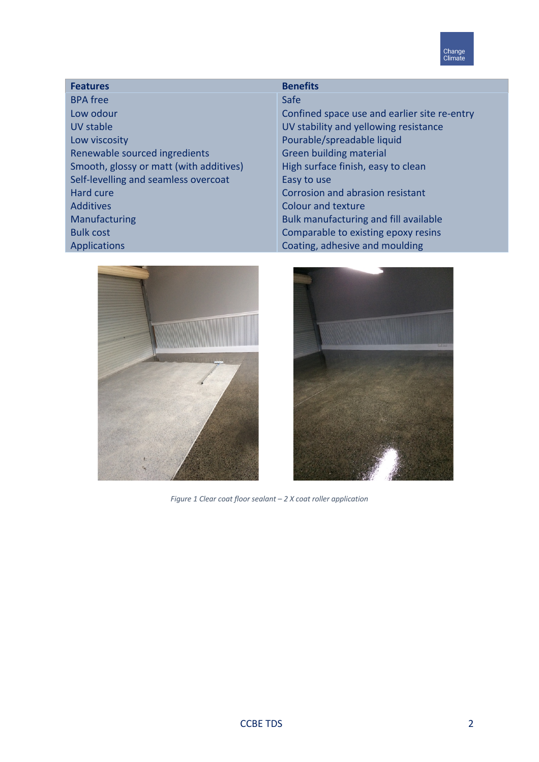

# **Features Benefits**

BPA free Low odour UV stable Low viscosity Renewable sourced ingredients Smooth, glossy or matt (with additives) Self-levelling and seamless overcoat Hard cure Additives Manufacturing Bulk cost Applications

# Safe

Confined space use and earlier site re-entry UV stability and yellowing resistance Pourable/spreadable liquid Green building material High surface finish, easy to clean Easy to use Corrosion and abrasion resistant Colour and texture Bulk manufacturing and fill available Comparable to existing epoxy resins Coating, adhesive and moulding





*Figure 1 Clear coat floor sealant – 2 X coat roller application*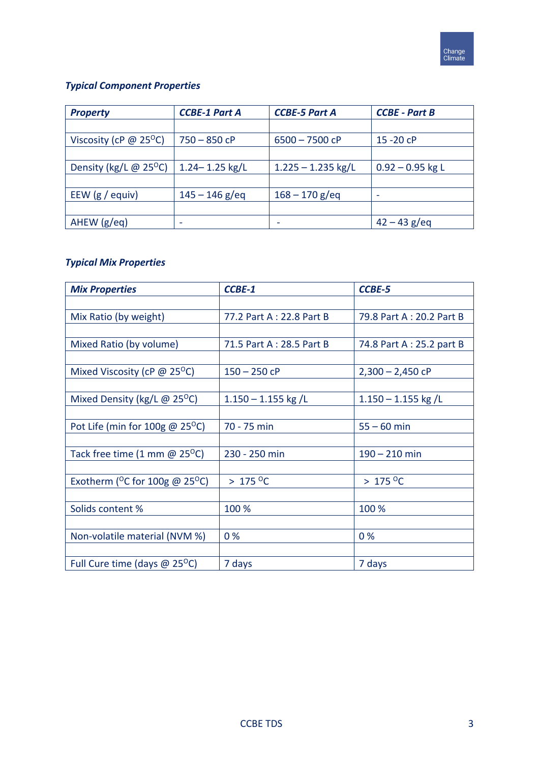

# *Typical Component Properties*

| <b>Property</b>                           | <b>CCBE-1 Part A</b> | <b>CCBE-5 Part A</b> | <b>CCBE - Part B</b> |
|-------------------------------------------|----------------------|----------------------|----------------------|
|                                           |                      |                      |                      |
| Viscosity (cP $\omega$ 25 <sup>o</sup> C) | $750 - 850$ cP       | $6500 - 7500$ cP     | $15 - 20$ cP         |
|                                           |                      |                      |                      |
| Density (kg/L $\omega$ 25 <sup>o</sup> C) | $1.24 - 1.25$ kg/L   | $1.225 - 1.235$ kg/L | $0.92 - 0.95$ kg L   |
|                                           |                      |                      |                      |
| EEW $(g /$ equiv)                         | $145 - 146$ g/eq     | $168 - 170$ g/eq     |                      |
|                                           |                      |                      |                      |
| AHEW (g/eq)                               |                      |                      | $42 - 43$ g/eq       |

# *Typical Mix Properties*

| <b>Mix Properties</b>                               | <b>CCBE-1</b>            | <b>CCBE-5</b>             |
|-----------------------------------------------------|--------------------------|---------------------------|
|                                                     |                          |                           |
| Mix Ratio (by weight)                               | 77.2 Part A: 22.8 Part B | 79.8 Part A: 20.2 Part B  |
|                                                     |                          |                           |
| Mixed Ratio (by volume)                             | 71.5 Part A: 28.5 Part B | 74.8 Part A : 25.2 part B |
|                                                     |                          |                           |
| Mixed Viscosity (cP $\omega$ 25 <sup>o</sup> C)     | $150 - 250$ cP           | $2,300 - 2,450$ cP        |
|                                                     |                          |                           |
| Mixed Density (kg/L $\omega$ 25 <sup>o</sup> C)     | $1.150 - 1.155$ kg /L    | $1.150 - 1.155$ kg /L     |
|                                                     |                          |                           |
| Pot Life (min for $100g \omega 25^{\circ}$ C)       | 70 - 75 min              | $55 - 60$ min             |
|                                                     |                          |                           |
| Tack free time $(1 \text{ mm } @ 25^{\circ}C)$      | 230 - 250 min            | $190 - 210$ min           |
|                                                     |                          |                           |
| Exotherm ( $^{\circ}$ C for 100g @ 25 $^{\circ}$ C) | $>175^{\circ}$ C         | $>175^{\circ}$ C          |
|                                                     |                          |                           |
| Solids content %                                    | 100 %                    | 100 %                     |
|                                                     |                          |                           |
| Non-volatile material (NVM %)                       | 0%                       | 0%                        |
|                                                     |                          |                           |
| Full Cure time (days $@$ 25 <sup>o</sup> C)         | 7 days                   | 7 days                    |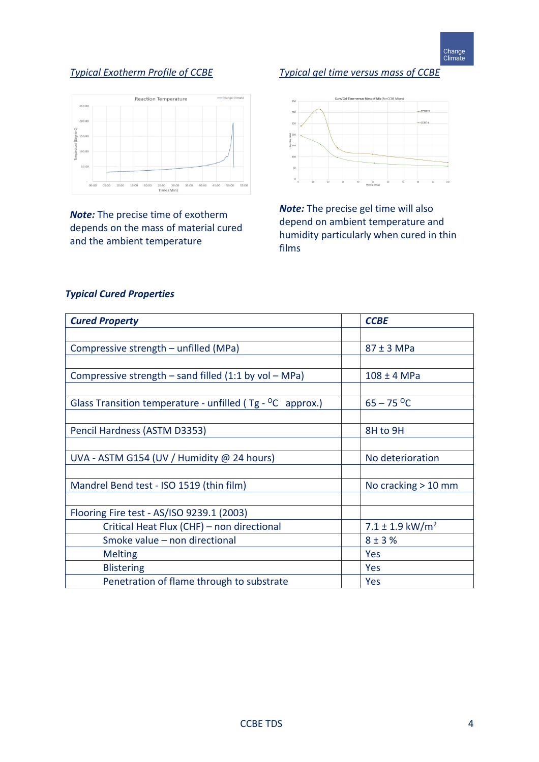# *Typical Exotherm Profile of CCBE*



*Note:* The precise time of exotherm depends on the mass of material cured and the ambient temperature

# *Typical gel time versus mass of CCBE*



*Note:* The precise gel time will also depend on ambient temperature and humidity particularly when cured in thin films

# *Typical Cured Properties*

| <b>Cured Property</b>                                        | <b>CCBE</b>                  |
|--------------------------------------------------------------|------------------------------|
|                                                              |                              |
| Compressive strength - unfilled (MPa)                        | $87 \pm 3$ MPa               |
|                                                              |                              |
| Compressive strength $-$ sand filled (1:1 by vol $-$ MPa)    | 108 ± 4 MPa                  |
|                                                              |                              |
| Glass Transition temperature - unfilled ( $Tg - OC$ approx.) | $65 - 75$ °C                 |
|                                                              |                              |
| Pencil Hardness (ASTM D3353)                                 | 8H to 9H                     |
|                                                              |                              |
| UVA - ASTM G154 (UV / Humidity @ 24 hours)                   | No deterioration             |
|                                                              |                              |
| Mandrel Bend test - ISO 1519 (thin film)                     | No cracking $> 10$ mm        |
|                                                              |                              |
| Flooring Fire test - AS/ISO 9239.1 (2003)                    |                              |
| Critical Heat Flux (CHF) - non directional                   | $7.1 \pm 1.9 \text{ kW/m}^2$ |
| Smoke value - non directional                                | $8 + 3%$                     |
| <b>Melting</b>                                               | Yes                          |
| <b>Blistering</b>                                            | Yes                          |
| Penetration of flame through to substrate                    | Yes                          |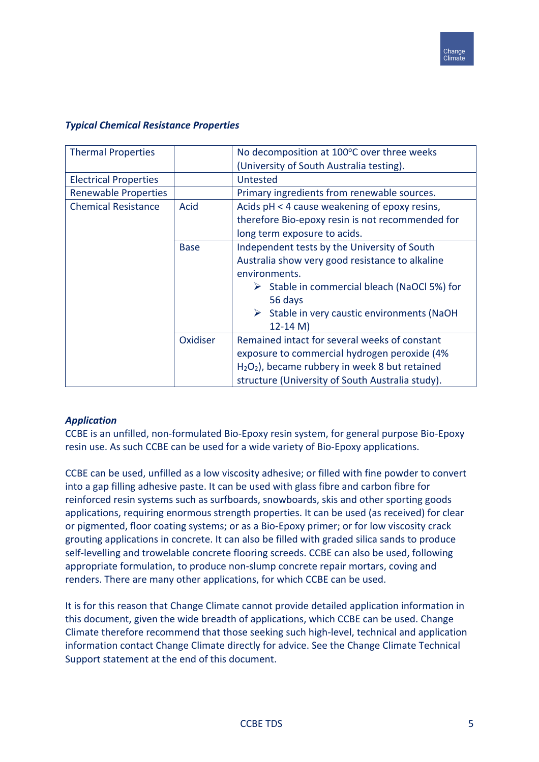

| <b>Thermal Properties</b>    |             | No decomposition at 100°C over three weeks                  |  |
|------------------------------|-------------|-------------------------------------------------------------|--|
|                              |             | (University of South Australia testing).                    |  |
| <b>Electrical Properties</b> |             | Untested                                                    |  |
| <b>Renewable Properties</b>  |             | Primary ingredients from renewable sources.                 |  |
| <b>Chemical Resistance</b>   | <b>Acid</b> | Acids pH < 4 cause weakening of epoxy resins,               |  |
|                              |             | therefore Bio-epoxy resin is not recommended for            |  |
|                              |             | long term exposure to acids.                                |  |
|                              | <b>Base</b> | Independent tests by the University of South                |  |
|                              |             | Australia show very good resistance to alkaline             |  |
|                              |             | environments.                                               |  |
|                              |             | $\triangleright$ Stable in commercial bleach (NaOCl 5%) for |  |
|                              |             | 56 days                                                     |  |
|                              |             | $\triangleright$ Stable in very caustic environments (NaOH) |  |
|                              |             | $12 - 14 M$                                                 |  |
|                              | Oxidiser    | Remained intact for several weeks of constant               |  |
|                              |             | exposure to commercial hydrogen peroxide (4%                |  |
|                              |             | $H2O2$ ), became rubbery in week 8 but retained             |  |
|                              |             | structure (University of South Australia study).            |  |

# *Typical Chemical Resistance Properties*

# *Application*

CCBE is an unfilled, non-formulated Bio-Epoxy resin system, for general purpose Bio-Epoxy resin use. As such CCBE can be used for a wide variety of Bio-Epoxy applications.

CCBE can be used, unfilled as a low viscosity adhesive; or filled with fine powder to convert into a gap filling adhesive paste. It can be used with glass fibre and carbon fibre for reinforced resin systems such as surfboards, snowboards, skis and other sporting goods applications, requiring enormous strength properties. It can be used (as received) for clear or pigmented, floor coating systems; or as a Bio-Epoxy primer; or for low viscosity crack grouting applications in concrete. It can also be filled with graded silica sands to produce self-levelling and trowelable concrete flooring screeds. CCBE can also be used, following appropriate formulation, to produce non-slump concrete repair mortars, coving and renders. There are many other applications, for which CCBE can be used.

It is for this reason that Change Climate cannot provide detailed application information in this document, given the wide breadth of applications, which CCBE can be used. Change Climate therefore recommend that those seeking such high-level, technical and application information contact Change Climate directly for advice. See the Change Climate Technical Support statement at the end of this document.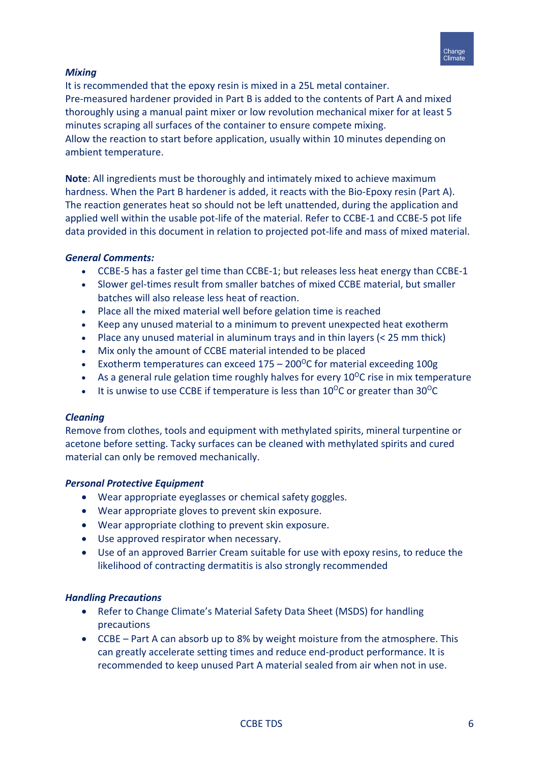

# *Mixing*

It is recommended that the epoxy resin is mixed in a 25L metal container. Pre-measured hardener provided in Part B is added to the contents of Part A and mixed thoroughly using a manual paint mixer or low revolution mechanical mixer for at least 5 minutes scraping all surfaces of the container to ensure compete mixing. Allow the reaction to start before application, usually within 10 minutes depending on ambient temperature.

**Note**: All ingredients must be thoroughly and intimately mixed to achieve maximum hardness. When the Part B hardener is added, it reacts with the Bio-Epoxy resin (Part A). The reaction generates heat so should not be left unattended, during the application and applied well within the usable pot-life of the material. Refer to CCBE-1 and CCBE-5 pot life data provided in this document in relation to projected pot-life and mass of mixed material.

# *General Comments:*

- CCBE-5 has a faster gel time than CCBE-1; but releases less heat energy than CCBE-1
- Slower gel-times result from smaller batches of mixed CCBE material, but smaller batches will also release less heat of reaction.
- Place all the mixed material well before gelation time is reached
- Keep any unused material to a minimum to prevent unexpected heat exotherm
- Place any unused material in aluminum trays and in thin layers  $(< 25$  mm thick)
- Mix only the amount of CCBE material intended to be placed
- Exotherm temperatures can exceed  $175 200^{\circ}$ C for material exceeding 100g
- As a general rule gelation time roughly halves for every  $10^{\circ}$ C rise in mix temperature
- It is unwise to use CCBE if temperature is less than  $10^{\circ}$ C or greater than  $30^{\circ}$ C

# *Cleaning*

Remove from clothes, tools and equipment with methylated spirits, mineral turpentine or acetone before setting. Tacky surfaces can be cleaned with methylated spirits and cured material can only be removed mechanically.

# *Personal Protective Equipment*

- Wear appropriate eyeglasses or chemical safety goggles.
- Wear appropriate gloves to prevent skin exposure.
- Wear appropriate clothing to prevent skin exposure.
- Use approved respirator when necessary.
- Use of an approved Barrier Cream suitable for use with epoxy resins, to reduce the likelihood of contracting dermatitis is also strongly recommended

# *Handling Precautions*

- Refer to Change Climate's Material Safety Data Sheet (MSDS) for handling precautions
- CCBE Part A can absorb up to 8% by weight moisture from the atmosphere. This can greatly accelerate setting times and reduce end-product performance. It is recommended to keep unused Part A material sealed from air when not in use.